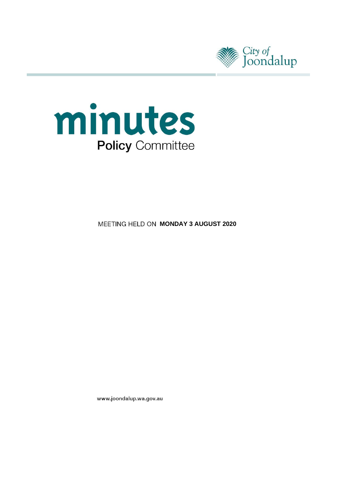



**MEETING HELD ON MONDAY 3 AUGUST 2020** 

www.joondalup.wa.gov.au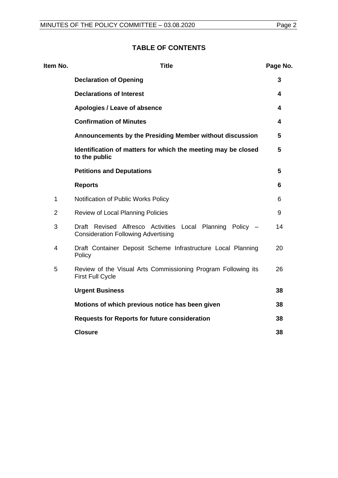# **TABLE OF CONTENTS**

| Item No.       | <b>Title</b>                                                                                            | Page No. |
|----------------|---------------------------------------------------------------------------------------------------------|----------|
|                | <b>Declaration of Opening</b>                                                                           | 3        |
|                | <b>Declarations of Interest</b>                                                                         | 4        |
|                | Apologies / Leave of absence                                                                            | 4        |
|                | <b>Confirmation of Minutes</b>                                                                          | 4        |
|                | Announcements by the Presiding Member without discussion                                                | 5        |
|                | Identification of matters for which the meeting may be closed<br>to the public                          | 5        |
|                | <b>Petitions and Deputations</b>                                                                        | 5        |
|                | <b>Reports</b>                                                                                          | 6        |
| $\mathbf 1$    | Notification of Public Works Policy                                                                     | 6        |
| $\overline{2}$ | Review of Local Planning Policies                                                                       | 9        |
| 3              | Draft Revised Alfresco Activities Local Planning Policy -<br><b>Consideration Following Advertising</b> | 14       |
| 4              | Draft Container Deposit Scheme Infrastructure Local Planning<br>Policy                                  | 20       |
| 5              | Review of the Visual Arts Commissioning Program Following its<br><b>First Full Cycle</b>                | 26       |
|                | <b>Urgent Business</b>                                                                                  | 38       |
|                | Motions of which previous notice has been given                                                         | 38       |
|                | <b>Requests for Reports for future consideration</b>                                                    | 38       |
|                | <b>Closure</b>                                                                                          | 38       |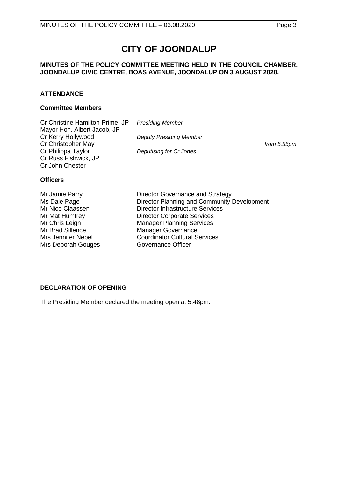# **CITY OF JOONDALUP**

## **MINUTES OF THE POLICY COMMITTEE MEETING HELD IN THE COUNCIL CHAMBER, JOONDALUP CIVIC CENTRE, BOAS AVENUE, JOONDALUP ON 3 AUGUST 2020.**

## **ATTENDANCE**

#### **Committee Members**

| Cr Christine Hamilton-Prime, JP | <b>Presiding Member</b>        |             |
|---------------------------------|--------------------------------|-------------|
| Mayor Hon. Albert Jacob, JP     |                                |             |
| Cr Kerry Hollywood              | <b>Deputy Presiding Member</b> |             |
| Cr Christopher May              |                                | from 5.55pm |
| Cr Philippa Taylor              | Deputising for Cr Jones        |             |
| Cr Russ Fishwick, JP            |                                |             |
| Cr John Chester                 |                                |             |
|                                 |                                |             |

## **Officers**

| Mr Jamie Parry            | Director Governance and Strategy            |
|---------------------------|---------------------------------------------|
| Ms Dale Page              | Director Planning and Community Development |
| Mr Nico Claassen          | <b>Director Infrastructure Services</b>     |
| Mr Mat Humfrey            | <b>Director Corporate Services</b>          |
| Mr Chris Leigh            | <b>Manager Planning Services</b>            |
| Mr Brad Sillence          | <b>Manager Governance</b>                   |
|                           |                                             |
| <b>Mrs Jennifer Nebel</b> | <b>Coordinator Cultural Services</b>        |
| Mrs Deborah Gouges        | Governance Officer                          |

## <span id="page-2-0"></span>**DECLARATION OF OPENING**

<span id="page-2-1"></span>The Presiding Member declared the meeting open at 5.48pm.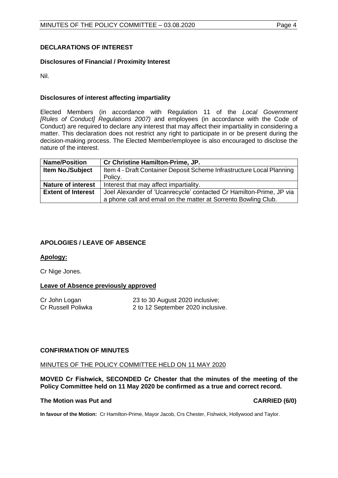## **DECLARATIONS OF INTEREST**

## **Disclosures of Financial / Proximity Interest**

Nil.

## **Disclosures of interest affecting impartiality**

Elected Members (in accordance with Regulation 11 of the *Local Government [Rules of Conduct] Regulations 2007)* and employees (in accordance with the Code of Conduct) are required to declare any interest that may affect their impartiality in considering a matter. This declaration does not restrict any right to participate in or be present during the decision-making process. The Elected Member/employee is also encouraged to disclose the nature of the interest.

| <b>Name/Position</b>      | Cr Christine Hamilton-Prime, JP.                                      |
|---------------------------|-----------------------------------------------------------------------|
| <b>Item No./Subject</b>   | Item 4 - Draft Container Deposit Scheme Infrastructure Local Planning |
|                           | Policy.                                                               |
| <b>Nature of interest</b> | Interest that may affect impartiality.                                |
| <b>Extent of Interest</b> | Joel Alexander of 'Ucanrecycle' contacted Cr Hamilton-Prime, JP via   |
|                           | a phone call and email on the matter at Sorrento Bowling Club.        |

## <span id="page-3-0"></span>**APOLOGIES / LEAVE OF ABSENCE**

## **Apology:**

Cr Nige Jones.

## **Leave of Absence previously approved**

<span id="page-3-1"></span>

Cr John Logan 23 to 30 August 2020 inclusive;<br>
Cr Russell Poliwka 2 to 12 September 2020 inclusive 2 to 12 September 2020 inclusive.

## **CONFIRMATION OF MINUTES**

#### MINUTES OF THE POLICY COMMITTEE HELD ON 11 MAY 2020

**MOVED Cr Fishwick, SECONDED Cr Chester that the minutes of the meeting of the Policy Committee held on 11 May 2020 be confirmed as a true and correct record.**

#### **The Motion was Put and CARRIED (6/0)**

<span id="page-3-2"></span>**In favour of the Motion:** Cr Hamilton-Prime, Mayor Jacob, Crs Chester, Fishwick, Hollywood and Taylor.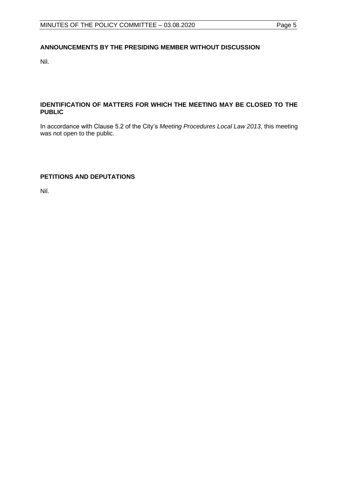## **ANNOUNCEMENTS BY THE PRESIDING MEMBER WITHOUT DISCUSSION**

Nil.

## <span id="page-4-0"></span>**IDENTIFICATION OF MATTERS FOR WHICH THE MEETING MAY BE CLOSED TO THE PUBLIC**

In accordance with Clause 5.2 of the City's *Meeting Procedures Local Law 2013*, this meeting was not open to the public.

## <span id="page-4-1"></span>**PETITIONS AND DEPUTATIONS**

Nil.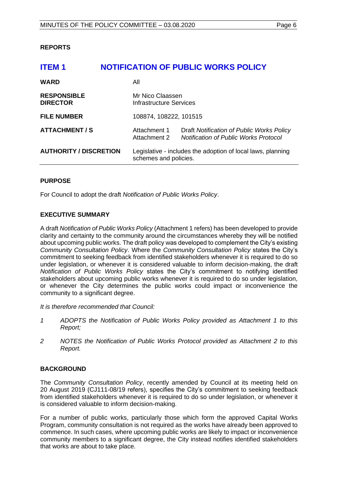## <span id="page-5-0"></span>**REPORTS**

# <span id="page-5-1"></span>**ITEM 1 NOTIFICATION OF PUBLIC WORKS POLICY WARD** All **RESPONSIBLE** Mr Nico Claassen **DIRECTOR Infrastructure Services FILE NUMBER** 108874, 108222, 101515 **ATTACHMENT / S** Attachment 1 Draft *Notification of Public Works Policy* Attachment 2 *Notification of Public Works Protocol* **AUTHORITY / DISCRETION** Legislative - includes the adoption of local laws, planning schemes and policies.

## **PURPOSE**

For Council to adopt the draft *Notification of Public Works Policy*.

## **EXECUTIVE SUMMARY**

A draft *Notification of Public Works Policy* (Attachment 1 refers) has been developed to provide clarity and certainty to the community around the circumstances whereby they will be notified about upcoming public works. The draft policy was developed to complement the City's existing *Community Consultation Policy*. Where the *Community Consultation Policy* states the City's commitment to seeking feedback from identified stakeholders whenever it is required to do so under legislation, or whenever it is considered valuable to inform decision-making, the draft *Notification of Public Works Policy* states the City's commitment to notifying identified stakeholders about upcoming public works whenever it is required to do so under legislation, or whenever the City determines the public works could impact or inconvenience the community to a significant degree.

*It is therefore recommended that Council:*

- *1 ADOPTS the Notification of Public Works Policy provided as Attachment 1 to this Report;*
- *2 NOTES the Notification of Public Works Protocol provided as Attachment 2 to this Report.*

## **BACKGROUND**

The *Community Consultation Policy*, recently amended by Council at its meeting held on 20 August 2019 (CJ111-08/19 refers), specifies the City's commitment to seeking feedback from identified stakeholders whenever it is required to do so under legislation, or whenever it is considered valuable to inform decision-making.

For a number of public works, particularly those which form the approved Capital Works Program, community consultation is not required as the works have already been approved to commence. In such cases, where upcoming public works are likely to impact or inconvenience community members to a significant degree, the City instead notifies identified stakeholders that works are about to take place.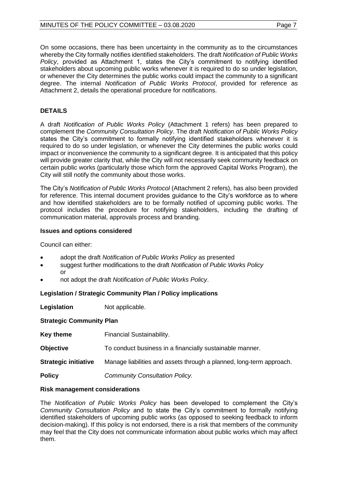On some occasions, there has been uncertainty in the community as to the circumstances whereby the City formally notifies identified stakeholders. The draft *Notification of Public Works Policy*, provided as Attachment 1, states the City's commitment to notifying identified stakeholders about upcoming public works whenever it is required to do so under legislation, or whenever the City determines the public works could impact the community to a significant degree. The internal *Notification of Public Works Protocol*, provided for reference as Attachment 2, details the operational procedure for notifications.

## **DETAILS**

A draft *Notification of Public Works Policy* (Attachment 1 refers) has been prepared to complement the *Community Consultation Policy*. The draft *Notification of Public Works Policy* states the City's commitment to formally notifying identified stakeholders whenever it is required to do so under legislation, or whenever the City determines the public works could impact or inconvenience the community to a significant degree. It is anticipated that this policy will provide greater clarity that, while the City will not necessarily seek community feedback on certain public works (particularly those which form the approved Capital Works Program), the City will still notify the community about those works.

The City's *Notification of Public Works Protocol* (Attachment 2 refers), has also been provided for reference. This internal document provides guidance to the City's workforce as to where and how identified stakeholders are to be formally notified of upcoming public works. The protocol includes the procedure for notifying stakeholders, including the drafting of communication material, approvals process and branding.

## **Issues and options considered**

Council can either:

- adopt the draft *Notification of Public Works Policy* as presented
- suggest further modifications to the draft *Notification of Public Works Policy* or
- not adopt the draft *Notification of Public Works Policy*.

## **Legislation / Strategic Community Plan / Policy implications**

**Legislation** Not applicable.

## **Strategic Community Plan**

| <b>Key theme</b>            | <b>Financial Sustainability.</b>                                     |
|-----------------------------|----------------------------------------------------------------------|
| Objective                   | To conduct business in a financially sustainable manner.             |
| <b>Strategic initiative</b> | Manage liabilities and assets through a planned, long-term approach. |
| Policy                      | <b>Community Consultation Policy.</b>                                |
|                             |                                                                      |

## **Risk management considerations**

The *Notification of Public Works Policy* has been developed to complement the City's *Community Consultation Policy* and to state the City's commitment to formally notifying identified stakeholders of upcoming public works (as opposed to seeking feedback to inform decision-making). If this policy is not endorsed, there is a risk that members of the community may feel that the City does not communicate information about public works which may affect them.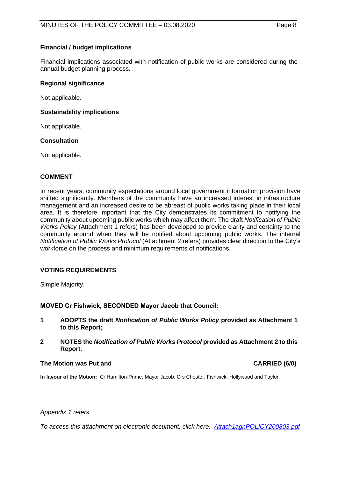## **Financial / budget implications**

Financial implications associated with notification of public works are considered during the annual budget planning process.

### **Regional significance**

Not applicable.

### **Sustainability implications**

Not applicable.

## **Consultation**

Not applicable.

## **COMMENT**

In recent years, community expectations around local government information provision have shifted significantly. Members of the community have an increased interest in infrastructure management and an increased desire to be abreast of public works taking place in their local area. It is therefore important that the City demonstrates its commitment to notifying the community about upcoming public works which may affect them. The draft *Notification of Public Works Policy* (Attachment 1 refers) has been developed to provide clarity and certainty to the community around when they will be notified about upcoming public works. The internal *Notification of Public Works Protocol* (Attachment 2 refers) provides clear direction to the City's workforce on the process and minimum requirements of notifications.

## **VOTING REQUIREMENTS**

Simple Majority.

**MOVED Cr Fishwick, SECONDED Mayor Jacob that Council:**

- **1 ADOPTS the draft** *Notification of Public Works Policy* **provided as Attachment 1 to this Report;**
- **2 NOTES the** *Notification of Public Works Protocol* **provided as Attachment 2 to this Report.**

#### **The Motion was Put and CARRIED (6/0)**

**In favour of the Motion:** Cr Hamilton-Prime, Mayor Jacob, Crs Chester, Fishwick, Hollywood and Taylor.

#### *Appendix 1 refers*

*To access this attachment on electronic document, click her[e: Attach1agnPOLICY200803.pdf](http://www.joondalup.wa.gov.au/files/committees/POLI/2020/Attach1agnPOLICY200803.pdf)*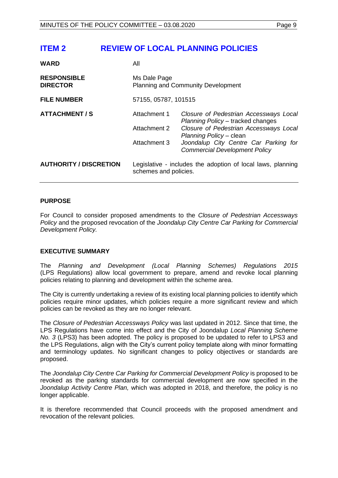# <span id="page-8-0"></span>**ITEM 2 REVIEW OF LOCAL PLANNING POLICIES**

| <b>WARD</b>                           | All                                                 |                                                                                                                                                                                                                                   |
|---------------------------------------|-----------------------------------------------------|-----------------------------------------------------------------------------------------------------------------------------------------------------------------------------------------------------------------------------------|
| <b>RESPONSIBLE</b><br><b>DIRECTOR</b> | Ms Dale Page                                        | <b>Planning and Community Development</b>                                                                                                                                                                                         |
| <b>FILE NUMBER</b>                    | 57155, 05787, 101515                                |                                                                                                                                                                                                                                   |
| <b>ATTACHMENT / S</b>                 | Attachment 1<br><b>Attachment 2</b><br>Attachment 3 | Closure of Pedestrian Accessways Local<br>Planning Policy - tracked changes<br>Closure of Pedestrian Accessways Local<br>Planning Policy - clean<br>Joondalup City Centre Car Parking for<br><b>Commercial Development Policy</b> |
| <b>AUTHORITY / DISCRETION</b>         | schemes and policies.                               | Legislative - includes the adoption of local laws, planning                                                                                                                                                                       |

## **PURPOSE**

For Council to consider proposed amendments to the *Closure of Pedestrian Accessways Policy* and the proposed revocation of the *Joondalup City Centre Car Parking for Commercial Development Policy.*

## **EXECUTIVE SUMMARY**

The *Planning and Development (Local Planning Schemes) Regulations 2015* (LPS Regulations) allow local government to prepare, amend and revoke local planning policies relating to planning and development within the scheme area.

The City is currently undertaking a review of its existing local planning policies to identify which policies require minor updates, which policies require a more significant review and which policies can be revoked as they are no longer relevant.

The *Closure of Pedestrian Accessways Policy* was last updated in 2012. Since that time, the LPS Regulations have come into effect and the City of Joondalup *Local Planning Scheme No. 3* (LPS3) has been adopted. The policy is proposed to be updated to refer to LPS3 and the LPS Regulations, align with the City's current policy template along with minor formatting and terminology updates. No significant changes to policy objectives or standards are proposed.

The *Joondalup City Centre Car Parking for Commercial Development Policy* is proposed to be revoked as the parking standards for commercial development are now specified in the *Joondalup Activity Centre Plan,* which was adopted in 2018, and therefore, the policy is no longer applicable.

It is therefore recommended that Council proceeds with the proposed amendment and revocation of the relevant policies.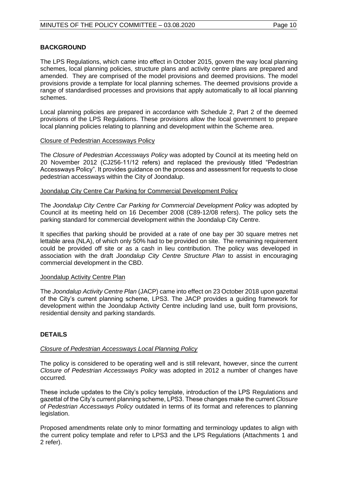## **BACKGROUND**

The LPS Regulations, which came into effect in October 2015, govern the way local planning schemes, local planning policies, structure plans and activity centre plans are prepared and amended. They are comprised of the model provisions and deemed provisions. The model provisions provide a template for local planning schemes. The deemed provisions provide a range of standardised processes and provisions that apply automatically to all local planning schemes.

Local planning policies are prepared in accordance with Schedule 2, Part 2 of the deemed provisions of the LPS Regulations. These provisions allow the local government to prepare local planning policies relating to planning and development within the Scheme area.

## Closure of Pedestrian Accessways Policy

The *Closure of Pedestrian Accessways Policy* was adopted by Council at its meeting held on 20 November 2012 (CJ256-11/12 refers) and replaced the previously titled "Pedestrian Accessways Policy". It provides guidance on the process and assessment for requests to close pedestrian accessways within the City of Joondalup.

#### Joondalup City Centre Car Parking for Commercial Development Policy

The *Joondalup City Centre Car Parking for Commercial Development Policy* was adopted by Council at its meeting held on 16 December 2008 (C89-12/08 refers). The policy sets the parking standard for commercial development within the Joondalup City Centre.

It specifies that parking should be provided at a rate of one bay per 30 square metres net lettable area (NLA), of which only 50% had to be provided on site. The remaining requirement could be provided off site or as a cash in lieu contribution. The policy was developed in association with the draft *Joondalup City Centre Structure Plan* to assist in encouraging commercial development in the CBD.

## Joondalup Activity Centre Plan

The *Joondalup Activity Centre Plan* (JACP) came into effect on 23 October 2018 upon gazettal of the City's current planning scheme, LPS3. The JACP provides a guiding framework for development within the Joondalup Activity Centre including land use, built form provisions, residential density and parking standards.

## **DETAILS**

## *Closure of Pedestrian Accessways Local Planning Policy*

The policy is considered to be operating well and is still relevant, however, since the current *Closure of Pedestrian Accessways Policy* was adopted in 2012 a number of changes have occurred.

These include updates to the City's policy template, introduction of the LPS Regulations and gazettal of the City's current planning scheme, LPS3. These changes make the current *Closure of Pedestrian Accessways Policy* outdated in terms of its format and references to planning legislation.

Proposed amendments relate only to minor formatting and terminology updates to align with the current policy template and refer to LPS3 and the LPS Regulations (Attachments 1 and 2 refer).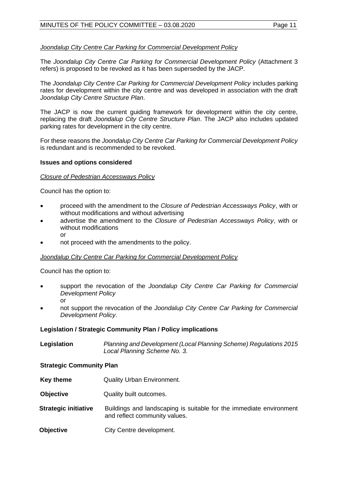## *Joondalup City Centre Car Parking for Commercial Development Policy*

The *Joondalup City Centre Car Parking for Commercial Development Policy* (Attachment 3 refers) is proposed to be revoked as it has been superseded by the JACP.

The *Joondalup City Centre Car Parking for Commercial Development Policy* includes parking rates for development within the city centre and was developed in association with the draft *Joondalup City Centre Structure Plan*.

The JACP is now the current guiding framework for development within the city centre, replacing the draft *Joondalup City Centre Structure Plan*. The JACP also includes updated parking rates for development in the city centre.

For these reasons the *Joondalup City Centre Car Parking for Commercial Development Policy* is redundant and is recommended to be revoked.

#### **Issues and options considered**

#### *Closure of Pedestrian Accessways Policy*

Council has the option to:

- proceed with the amendment to the *Closure of Pedestrian Accessways Policy*, with or without modifications and without advertising
- advertise the amendment to the *Closure of Pedestrian Accessways Policy*, with or without modifications or
- not proceed with the amendments to the policy.

## *Joondalup City Centre Car Parking for Commercial Development Policy*

Council has the option to:

- support the revocation of the *Joondalup City Centre Car Parking for Commercial Development Policy* or
- not support the revocation of the *Joondalup City Centre Car Parking for Commercial Development Policy*.

## **Legislation / Strategic Community Plan / Policy implications**

| Legislation | Planning and Development (Local Planning Scheme) Regulations 2015 |
|-------------|-------------------------------------------------------------------|
|             | Local Planning Scheme No. 3.                                      |

## **Strategic Community Plan**

- **Key theme Quality Urban Environment.**
- **Objective** Quality built outcomes.
- **Strategic initiative** Buildings and landscaping is suitable for the immediate environment and reflect community values.
- **Objective** City Centre development.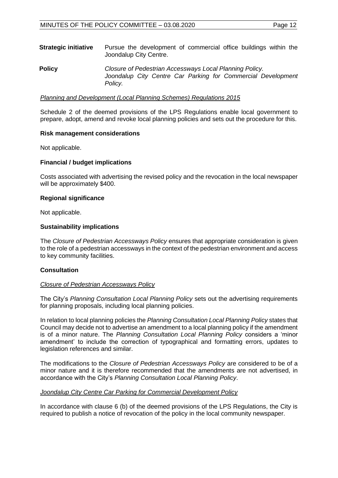| <b>Strategic initiative</b> | Pursue the development of commercial office buildings within the<br>Joondalup City Centre.                                         |
|-----------------------------|------------------------------------------------------------------------------------------------------------------------------------|
| <b>Policy</b>               | Closure of Pedestrian Accessways Local Planning Policy.<br>Joondalup City Centre Car Parking for Commercial Development<br>Policy. |

#### *Planning and Development (Local Planning Schemes) Regulations 2015*

Schedule 2 of the deemed provisions of the LPS Regulations enable local government to prepare, adopt, amend and revoke local planning policies and sets out the procedure for this.

#### **Risk management considerations**

Not applicable.

## **Financial / budget implications**

Costs associated with advertising the revised policy and the revocation in the local newspaper will be approximately \$400.

#### **Regional significance**

Not applicable.

#### **Sustainability implications**

The *Closure of Pedestrian Accessways Policy* ensures that appropriate consideration is given to the role of a pedestrian accessways in the context of the pedestrian environment and access to key community facilities.

## **Consultation**

#### *Closure of Pedestrian Accessways Policy*

The City's *Planning Consultation Local Planning Policy* sets out the advertising requirements for planning proposals, including local planning policies.

In relation to local planning policies the *Planning Consultation Local Planning Policy* states that Council may decide not to advertise an amendment to a local planning policy if the amendment is of a minor nature. The *Planning Consultation Local Planning Policy* considers a 'minor amendment' to include the correction of typographical and formatting errors, updates to legislation references and similar.

The modifications to the *Closure of Pedestrian Accessways Policy* are considered to be of a minor nature and it is therefore recommended that the amendments are not advertised, in accordance with the City's *Planning Consultation Local Planning Policy*.

#### *Joondalup City Centre Car Parking for Commercial Development Policy*

In accordance with clause 6 (b) of the deemed provisions of the LPS Regulations, the City is required to publish a notice of revocation of the policy in the local community newspaper.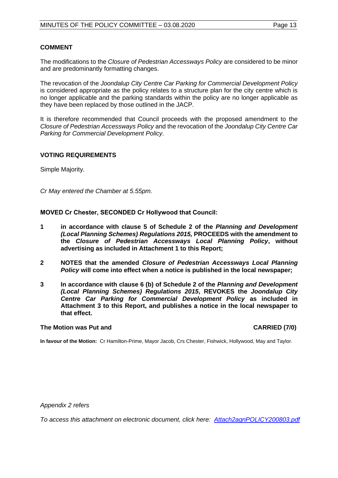## **COMMENT**

The modifications to the *Closure of Pedestrian Accessways Policy* are considered to be minor and are predominantly formatting changes.

The revocation of the *Joondalup City Centre Car Parking for Commercial Development Policy* is considered appropriate as the policy relates to a structure plan for the city centre which is no longer applicable and the parking standards within the policy are no longer applicable as they have been replaced by those outlined in the JACP.

It is therefore recommended that Council proceeds with the proposed amendment to the *Closure of Pedestrian Accessways Policy* and the revocation of the *Joondalup City Centre Car Parking for Commercial Development Policy.*

## **VOTING REQUIREMENTS**

Simple Majority.

*Cr May entered the Chamber at 5.55pm.*

**MOVED Cr Chester, SECONDED Cr Hollywood that Council:**

- **1 in accordance with clause 5 of Schedule 2 of the** *Planning and Development (Local Planning Schemes) Regulations 2015,* **PROCEEDS with the amendment to the** *Closure of Pedestrian Accessways Local Planning Policy***, without advertising as included in Attachment 1 to this Report;**
- **2 NOTES that the amended** *Closure of Pedestrian Accessways Local Planning Policy* **will come into effect when a notice is published in the local newspaper;**
- **3 In accordance with clause 6 (b) of Schedule 2 of the** *Planning and Development (Local Planning Schemes) Regulations 2015***, REVOKES the** *Joondalup City Centre Car Parking for Commercial Development Policy* **as included in Attachment 3 to this Report, and publishes a notice in the local newspaper to that effect.**

## **The Motion was Put and CARRIED (7/0)**

**In favour of the Motion:** Cr Hamilton-Prime, Mayor Jacob, Crs Chester, Fishwick, Hollywood, May and Taylor.

*Appendix 2 refers*

*To access this attachment on electronic document, click here: [Attach2agnPOLICY200803.pdf](http://www.joondalup.wa.gov.au/files/committees/POLI/2020/Attach2agnPOLICY200803.pdf)*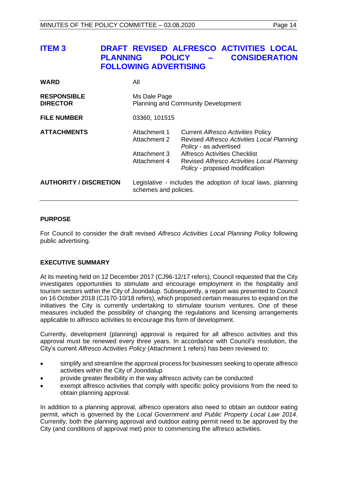<span id="page-13-0"></span>

| <b>ITEM3</b>                          | <b>POLICY</b><br><b>PLANNING</b><br><b>FOLLOWING ADVERTISING</b>    | DRAFT REVISED ALFRESCO ACTIVITIES LOCAL<br><b>CONSIDERATION</b>                                                                                                                                                                           |
|---------------------------------------|---------------------------------------------------------------------|-------------------------------------------------------------------------------------------------------------------------------------------------------------------------------------------------------------------------------------------|
| <b>WARD</b>                           | All                                                                 |                                                                                                                                                                                                                                           |
| <b>RESPONSIBLE</b><br><b>DIRECTOR</b> | Ms Dale Page                                                        | <b>Planning and Community Development</b>                                                                                                                                                                                                 |
| <b>FILE NUMBER</b>                    | 03360, 101515                                                       |                                                                                                                                                                                                                                           |
| <b>ATTACHMENTS</b>                    | Attachment 1<br><b>Attachment 2</b><br>Attachment 3<br>Attachment 4 | <b>Current Alfresco Activities Policy</b><br>Revised Alfresco Activities Local Planning<br>Policy - as advertised<br><b>Alfresco Activities Checklist</b><br>Revised Alfresco Activities Local Planning<br>Policy - proposed modification |
| <b>AUTHORITY / DISCRETION</b>         | schemes and policies.                                               | Legislative - includes the adoption of local laws, planning                                                                                                                                                                               |

#### **PURPOSE**

For Council to consider the draft revised *Alfresco Activities Local Planning Policy* following public advertising.

## **EXECUTIVE SUMMARY**

At its meeting held on 12 December 2017 (CJ96-12/17 refers), Council requested that the City investigates opportunities to stimulate and encourage employment in the hospitality and tourism sectors within the City of Joondalup. Subsequently, a report was presented to Council on 16 October 2018 (CJ170-10/18 refers), which proposed certain measures to expand on the initiatives the City is currently undertaking to stimulate tourism ventures. One of these measures included the possibility of changing the regulations and licensing arrangements applicable to alfresco activities to encourage this form of development.

Currently, development (planning) approval is required for all alfresco activities and this approval must be renewed every three years. In accordance with Council's resolution, the City's current *Alfresco Activities Policy* (Attachment 1 refers) has been reviewed to:

- simplify and streamline the approval process for businesses seeking to operate alfresco activities within the City of Joondalup
- provide greater flexibility in the way alfresco activity can be conducted
- exempt alfresco activities that comply with specific policy provisions from the need to obtain planning approval.

In addition to a planning approval, alfresco operators also need to obtain an outdoor eating permit, which is governed by the *Local Government and Public Property Local Law 2014*. Currently, both the planning approval and outdoor eating permit need to be approved by the City (and conditions of approval met) prior to commencing the alfresco activities.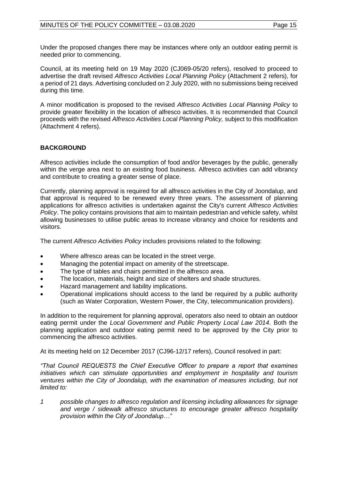Under the proposed changes there may be instances where only an outdoor eating permit is needed prior to commencing.

Council, at its meeting held on 19 May 2020 (CJ069-05/20 refers), resolved to proceed to advertise the draft revised *Alfresco Activities Local Planning Policy* (Attachment 2 refers), for a period of 21 days. Advertising concluded on 2 July 2020, with no submissions being received during this time.

A minor modification is proposed to the revised *Alfresco Activities Local Planning Policy* to provide greater flexibility in the location of alfresco activities. It is recommended that Council proceeds with the revised *Alfresco Activities Local Planning Policy,* subject to this modification (Attachment 4 refers).

## **BACKGROUND**

Alfresco activities include the consumption of food and/or beverages by the public, generally within the verge area next to an existing food business. Alfresco activities can add vibrancy and contribute to creating a greater sense of place.

Currently, planning approval is required for all alfresco activities in the City of Joondalup, and that approval is required to be renewed every three years. The assessment of planning applications for alfresco activities is undertaken against the City's current *Alfresco Activities Policy*. The policy contains provisions that aim to maintain pedestrian and vehicle safety, whilst allowing businesses to utilise public areas to increase vibrancy and choice for residents and visitors.

The current *Alfresco Activities Policy* includes provisions related to the following:

- Where alfresco areas can be located in the street verge.
- Managing the potential impact on amenity of the streetscape.
- The type of tables and chairs permitted in the alfresco area.
- The location, materials, height and size of shelters and shade structures.
- Hazard management and liability implications.
- Operational implications should access to the land be required by a public authority (such as Water Corporation, Western Power, the City, telecommunication providers).

In addition to the requirement for planning approval, operators also need to obtain an outdoor eating permit under the *Local Government and Public Property Local Law 2014*. Both the planning application and outdoor eating permit need to be approved by the City prior to commencing the alfresco activities.

At its meeting held on 12 December 2017 (CJ96-12/17 refers), Council resolved in part:

*"That Council REQUESTS the Chief Executive Officer to prepare a report that examines initiatives which can stimulate opportunities and employment in hospitality and tourism*  ventures within the City of Joondalup, with the examination of measures including, but not *limited to:* 

*1 possible changes to alfresco regulation and licensing including allowances for signage and verge / sidewalk alfresco structures to encourage greater alfresco hospitality provision within the City of Joondalup…"*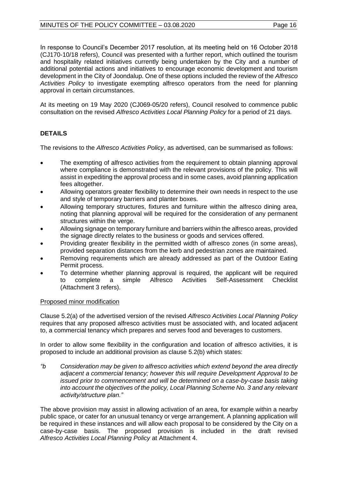## MINUTES OF THE POLICY COMMITTEE - 03.08.2020 Page 16

In response to Council's December 2017 resolution, at its meeting held on 16 October 2018 (CJ170-10/18 refers), Council was presented with a further report, which outlined the tourism and hospitality related initiatives currently being undertaken by the City and a number of additional potential actions and initiatives to encourage economic development and tourism development in the City of Joondalup. One of these options included the review of the *Alfresco Activities Policy* to investigate exempting alfresco operators from the need for planning approval in certain circumstances.

At its meeting on 19 May 2020 (CJ069-05/20 refers), Council resolved to commence public consultation on the revised *Alfresco Activities Local Planning Policy* for a period of 21 days*.* 

## **DETAILS**

The revisions to the *Alfresco Activities Policy*, as advertised, can be summarised as follows:

- The exempting of alfresco activities from the requirement to obtain planning approval where compliance is demonstrated with the relevant provisions of the policy. This will assist in expediting the approval process and in some cases, avoid planning application fees altogether.
- Allowing operators greater flexibility to determine their own needs in respect to the use and style of temporary barriers and planter boxes.
- Allowing temporary structures, fixtures and furniture within the alfresco dining area, noting that planning approval will be required for the consideration of any permanent structures within the verge.
- Allowing signage on temporary furniture and barriers within the alfresco areas, provided the signage directly relates to the business or goods and services offered.
- Providing greater flexibility in the permitted width of alfresco zones (in some areas), provided separation distances from the kerb and pedestrian zones are maintained.
- Removing requirements which are already addressed as part of the Outdoor Eating Permit process.
- To determine whether planning approval is required, the applicant will be required to complete a simple Alfresco Activities Self-Assessment Checklist (Attachment 3 refers).

## Proposed minor modification

Clause 5.2(a) of the advertised version of the revised *Alfresco Activities Local Planning Policy* requires that any proposed alfresco activities must be associated with, and located adjacent to, a commercial tenancy which prepares and serves food and beverages to customers.

In order to allow some flexibility in the configuration and location of alfresco activities, it is proposed to include an additional provision as clause 5.2(b) which states:

*"b Consideration may be given to alfresco activities which extend beyond the area directly adjacent a commercial tenancy; however this will require Development Approval to be issued prior to commencement and will be determined on a case-by-case basis taking into account the objectives of the policy, Local Planning Scheme No. 3 and any relevant activity/structure plan."*

The above provision may assist in allowing activation of an area, for example within a nearby public space, or cater for an unusual tenancy or verge arrangement. A planning application will be required in these instances and will allow each proposal to be considered by the City on a case-by-case basis. The proposed provision is included in the draft revised *Alfresco Activities Local Planning Policy* at Attachment 4.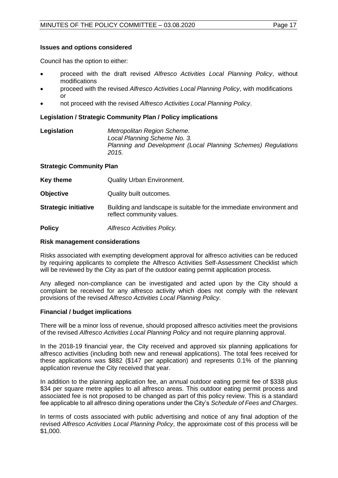## **Issues and options considered**

Council has the option to either:

- proceed with the draft revised *Alfresco Activities Local Planning Policy*, without modifications
- proceed with the revised *Alfresco Activities Local Planning Policy*, with modifications or
- not proceed with the revised *Alfresco Activities Local Planning Policy*.

### **Legislation / Strategic Community Plan / Policy implications**

| Legislation | Metropolitan Region Scheme.                                   |
|-------------|---------------------------------------------------------------|
|             | Local Planning Scheme No. 3.                                  |
|             | Planning and Development (Local Planning Schemes) Regulations |
|             | 2015.                                                         |

#### **Strategic Community Plan**

| <b>Key theme</b> | <b>Quality Urban Environment.</b> |
|------------------|-----------------------------------|
|------------------|-----------------------------------|

- **Objective Quality built outcomes.**
- **Strategic initiative** Building and landscape is suitable for the immediate environment and reflect community values.

**Policy** *Alfresco Activities Policy.*

#### **Risk management considerations**

Risks associated with exempting development approval for alfresco activities can be reduced by requiring applicants to complete the Alfresco Activities Self-Assessment Checklist which will be reviewed by the City as part of the outdoor eating permit application process.

Any alleged non-compliance can be investigated and acted upon by the City should a complaint be received for any alfresco activity which does not comply with the relevant provisions of the revised *Alfresco Activities Local Planning Policy*.

## **Financial / budget implications**

There will be a minor loss of revenue, should proposed alfresco activities meet the provisions of the revised *Alfresco Activities Local Planning Policy* and not require planning approval.

In the 2018-19 financial year, the City received and approved six planning applications for alfresco activities (including both new and renewal applications). The total fees received for these applications was \$882 (\$147 per application) and represents 0.1% of the planning application revenue the City received that year.

In addition to the planning application fee, an annual outdoor eating permit fee of \$338 plus \$34 per square metre applies to all alfresco areas. This outdoor eating permit process and associated fee is not proposed to be changed as part of this policy review. This is a standard fee applicable to all alfresco dining operations under the City's *Schedule of Fees and Charges*.

In terms of costs associated with public advertising and notice of any final adoption of the revised *Alfresco Activities Local Planning Policy*, the approximate cost of this process will be \$1,000.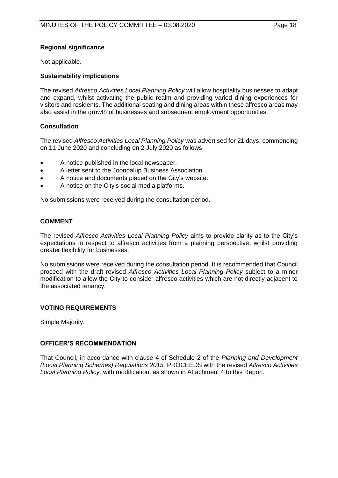## **Regional significance**

Not applicable.

## **Sustainability implications**

The revised *Alfresco Activities Local Planning Policy* will allow hospitality businesses to adapt and expand, whilst activating the public realm and providing varied dining experiences for visitors and residents. The additional seating and dining areas within these alfresco areas may also assist in the growth of businesses and subsequent employment opportunities.

## **Consultation**

The revised *Alfresco Activities Local Planning Policy* was advertised for 21 days, commencing on 11 June 2020 and concluding on 2 July 2020 as follows:

- A notice published in the local newspaper.
- A letter sent to the Joondalup Business Association.
- A notice and documents placed on the City's website.
- A notice on the City's social media platforms.

No submissions were received during the consultation period.

## **COMMENT**

The revised *Alfresco Activities Local Planning Policy* aims to provide clarity as to the City's expectations in respect to alfresco activities from a planning perspective, whilst providing greater flexibility for businesses.

No submissions were received during the consultation period. It is recommended that Council proceed with the draft revised *Alfresco Activities Local Planning Policy* subject to a minor modification to allow the City to consider alfresco activities which are not directly adjacent to the associated tenancy.

## **VOTING REQUIREMENTS**

Simple Majority.

## **OFFICER'S RECOMMENDATION**

That Council, in accordance with clause 4 of Schedule 2 of the *Planning and Development (Local Planning Schemes) Regulations 2015,* PROCEEDS with the revised *Alfresco Activities Local Planning Policy,* with modification, as shown in Attachment 4 to this Report.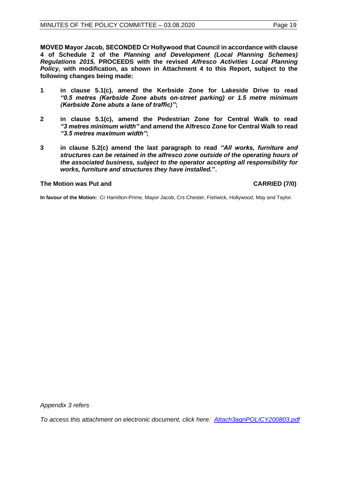**MOVED Mayor Jacob, SECONDED Cr Hollywood that Council in accordance with clause 4 of Schedule 2 of the** *Planning and Development (Local Planning Schemes) Regulations 2015,* **PROCEEDS with the revised** *Alfresco Activities Local Planning Policy,* **with modification, as shown in Attachment 4 to this Report, subject to the following changes being made:**

- **1 in clause 5.1(c), amend the Kerbside Zone for Lakeside Drive to read**  *"0.5 metres (Kerbside Zone abuts on-street parking) or 1.5 metre minimum (Kerbside Zone abuts a lane of traffic)"***;**
- **2 in clause 5.1(c), amend the Pedestrian Zone for Central Walk to read** *"3 metres minimum width"* **and amend the Alfresco Zone for Central Walk to read**  *"3.5 metres maximum width"***;**
- **3 in clause 5.2(c) amend the last paragraph to read** *"All works, furniture and structures can be retained in the alfresco zone outside of the operating hours of the associated business, subject to the operator accepting all responsibility for works, furniture and structures they have installed.***".**

## **The Motion was Put and CARRIED (7/0)**

**In favour of the Motion:** Cr Hamilton-Prime, Mayor Jacob, Crs Chester, Fishwick, Hollywood, May and Taylor.

*Appendix 3 refers*

*To access this attachment on electronic document, click here: [Attach3agnPOLICY200803.pdf](http://www.joondalup.wa.gov.au/files/committees/POLI/2020/Attach3agnPOLICY200803.pdf)*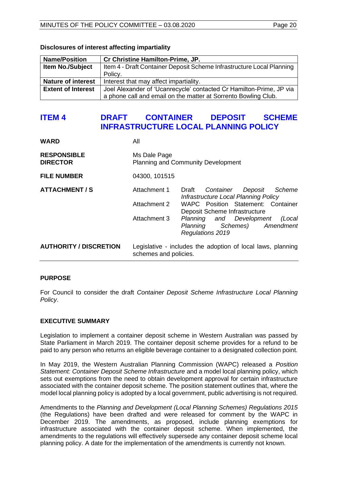| <b>Name/Position</b>      | Cr Christine Hamilton-Prime, JP.                                      |  |
|---------------------------|-----------------------------------------------------------------------|--|
| <b>Item No./Subject</b>   | Item 4 - Draft Container Deposit Scheme Infrastructure Local Planning |  |
|                           | Policy.                                                               |  |
| <b>Nature of interest</b> | Interest that may affect impartiality.                                |  |
| <b>Extent of Interest</b> | Joel Alexander of 'Ucanrecycle' contacted Cr Hamilton-Prime, JP via   |  |
|                           | a phone call and email on the matter at Sorrento Bowling Club.        |  |

#### <span id="page-19-0"></span>**Disclosures of interest affecting impartiality**

# **ITEM 4 DRAFT CONTAINER DEPOSIT SCHEME INFRASTRUCTURE LOCAL PLANNING POLICY**

| <b>WARD</b>                           | All                                                       |                                                                                                                                                                                                                                                    |  |
|---------------------------------------|-----------------------------------------------------------|----------------------------------------------------------------------------------------------------------------------------------------------------------------------------------------------------------------------------------------------------|--|
| <b>RESPONSIBLE</b><br><b>DIRECTOR</b> | Ms Dale Page<br><b>Planning and Community Development</b> |                                                                                                                                                                                                                                                    |  |
| <b>FILE NUMBER</b>                    | 04300, 101515                                             |                                                                                                                                                                                                                                                    |  |
| <b>ATTACHMENT / S</b>                 | Attachment 1<br>Attachment 2<br>Attachment 3              | Draft<br>Container<br>Deposit<br>Scheme<br>Infrastructure Local Planning Policy<br>WAPC Position Statement: Container<br>Deposit Scheme Infrastructure<br>Planning and Development<br>(Local<br>Schemes) Amendment<br>Planning<br>Regulations 2019 |  |
| <b>AUTHORITY / DISCRETION</b>         | schemes and policies.                                     | Legislative - includes the adoption of local laws, planning                                                                                                                                                                                        |  |

## **PURPOSE**

For Council to consider the draft *Container Deposit Scheme Infrastructure Local Planning Policy*.

#### **EXECUTIVE SUMMARY**

Legislation to implement a container deposit scheme in Western Australian was passed by State Parliament in March 2019. The container deposit scheme provides for a refund to be paid to any person who returns an eligible beverage container to a designated collection point.

In May 2019, the Western Australian Planning Commission (WAPC) released a *Position Statement: Container Deposit Scheme Infrastructure* and a model local planning policy, which sets out exemptions from the need to obtain development approval for certain infrastructure associated with the container deposit scheme. The position statement outlines that, where the model local planning policy is adopted by a local government, public advertising is not required.

Amendments to the *Planning and Development (Local Planning Schemes) Regulations 2015*  (the Regulations) have been drafted and were released for comment by the WAPC in December 2019. The amendments, as proposed, include planning exemptions for infrastructure associated with the container deposit scheme. When implemented, the amendments to the regulations will effectively supersede any container deposit scheme local planning policy. A date for the implementation of the amendments is currently not known.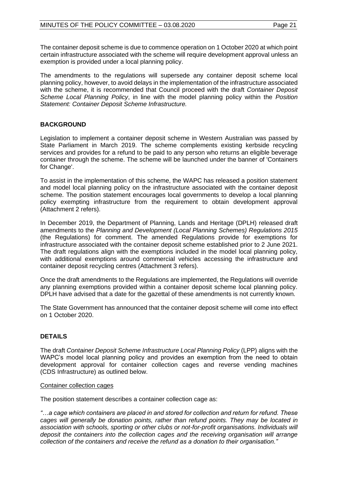The container deposit scheme is due to commence operation on 1 October 2020 at which point certain infrastructure associated with the scheme will require development approval unless an exemption is provided under a local planning policy.

The amendments to the regulations will supersede any container deposit scheme local planning policy, however, to avoid delays in the implementation of the infrastructure associated with the scheme, it is recommended that Council proceed with the draft *Container Deposit Scheme Local Planning Policy*, in line with the model planning policy within the *Position Statement: Container Deposit Scheme Infrastructure.*

## **BACKGROUND**

Legislation to implement a container deposit scheme in Western Australian was passed by State Parliament in March 2019. The scheme complements existing kerbside recycling services and provides for a refund to be paid to any person who returns an eligible beverage container through the scheme. The scheme will be launched under the banner of 'Containers for Change'.

To assist in the implementation of this scheme, the WAPC has released a position statement and model local planning policy on the infrastructure associated with the container deposit scheme. The position statement encourages local governments to develop a local planning policy exempting infrastructure from the requirement to obtain development approval (Attachment 2 refers).

In December 2019, the Department of Planning, Lands and Heritage (DPLH) released draft amendments to the *Planning and Development (Local Planning Schemes) Regulations 2015* (the Regulations) for comment. The amended Regulations provide for exemptions for infrastructure associated with the container deposit scheme established prior to 2 June 2021. The draft regulations align with the exemptions included in the model local planning policy, with additional exemptions around commercial vehicles accessing the infrastructure and container deposit recycling centres (Attachment 3 refers).

Once the draft amendments to the Regulations are implemented, the Regulations will override any planning exemptions provided within a container deposit scheme local planning policy. DPLH have advised that a date for the gazettal of these amendments is not currently known.

The State Government has announced that the container deposit scheme will come into effect on 1 October 2020.

## **DETAILS**

The draft *Container Deposit Scheme Infrastructure Local Planning Policy* (LPP) aligns with the WAPC's model local planning policy and provides an exemption from the need to obtain development approval for container collection cages and reverse vending machines (CDS Infrastructure) as outlined below.

## Container collection cages

The position statement describes a container collection cage as:

*"…a cage which containers are placed in and stored for collection and return for refund. These cages will generally be donation points, rather than refund points. They may be located in*  association with schools, sporting or other clubs or not-for-profit organisations. Individuals will *deposit the containers into the collection cages and the receiving organisation will arrange collection of the containers and receive the refund as a donation to their organisation."*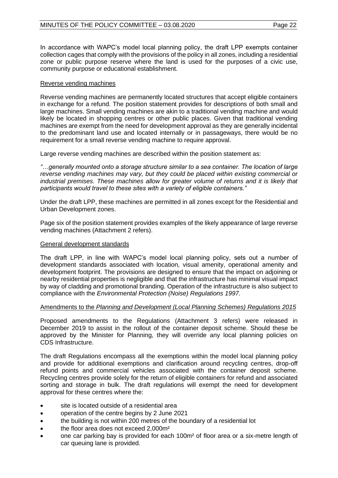In accordance with WAPC's model local planning policy, the draft LPP exempts container collection cages that comply with the provisions of the policy in all zones, including a residential zone or public purpose reserve where the land is used for the purposes of a civic use, community purpose or educational establishment.

## Reverse vending machines

Reverse vending machines are permanently located structures that accept eligible containers in exchange for a refund. The position statement provides for descriptions of both small and large machines. Small vending machines are akin to a traditional vending machine and would likely be located in shopping centres or other public places. Given that traditional vending machines are exempt from the need for development approval as they are generally incidental to the predominant land use and located internally or in passageways, there would be no requirement for a small reverse vending machine to require approval.

Large reverse vending machines are described within the position statement as:

*"…generally mounted onto a storage structure similar to a sea container. The location of large reverse vending machines may vary, but they could be placed within existing commercial or industrial premises. These machines allow for greater volume of returns and it is likely that participants would travel to these sites with a variety of eligible containers."*

Under the draft LPP, these machines are permitted in all zones except for the Residential and Urban Development zones.

Page six of the position statement provides examples of the likely appearance of large reverse vending machines (Attachment 2 refers).

## General development standards

The draft LPP, in line with WAPC's model local planning policy, sets out a number of development standards associated with location, visual amenity, operational amenity and development footprint. The provisions are designed to ensure that the impact on adjoining or nearby residential properties is negligible and that the infrastructure has minimal visual impact by way of cladding and promotional branding. Operation of the infrastructure is also subject to compliance with the *Environmental Protection (Noise) Regulations 1997.*

## Amendments to the *Planning and Development (Local Planning Schemes) Regulations 2015*

Proposed amendments to the Regulations (Attachment 3 refers) were released in December 2019 to assist in the rollout of the container deposit scheme. Should these be approved by the Minister for Planning, they will override any local planning policies on CDS Infrastructure.

The draft Regulations encompass all the exemptions within the model local planning policy and provide for additional exemptions and clarification around recycling centres, drop-off refund points and commercial vehicles associated with the container deposit scheme. Recycling centres provide solely for the return of eligible containers for refund and associated sorting and storage in bulk. The draft regulations will exempt the need for development approval for these centres where the:

- site is located outside of a residential area
- operation of the centre begins by 2 June 2021
- the building is not within 200 metres of the boundary of a residential lot
- the floor area does not exceed 2,000m<sup>2</sup>
- one car parking bay is provided for each 100m² of floor area or a six-metre length of car queuing lane is provided.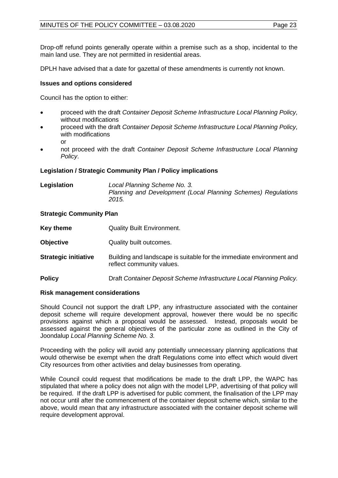Drop-off refund points generally operate within a premise such as a shop, incidental to the main land use. They are not permitted in residential areas.

DPLH have advised that a date for gazettal of these amendments is currently not known.

## **Issues and options considered**

Council has the option to either:

- proceed with the draft *Container Deposit Scheme Infrastructure Local Planning Policy,*  without modifications
- proceed with the draft *Container Deposit Scheme Infrastructure Local Planning Policy,*  with modifications or
- not proceed with the draft *Container Deposit Scheme Infrastructure Local Planning Policy*.

## **Legislation / Strategic Community Plan / Policy implications**

| Legislation | Local Planning Scheme No. 3.                                  |
|-------------|---------------------------------------------------------------|
|             | Planning and Development (Local Planning Schemes) Regulations |
|             | 2015.                                                         |

## **Strategic Community Plan**

| <b>Key theme</b>            | <b>Quality Built Environment.</b>                                                                 |
|-----------------------------|---------------------------------------------------------------------------------------------------|
| <b>Objective</b>            | Quality built outcomes.                                                                           |
| <b>Strategic initiative</b> | Building and landscape is suitable for the immediate environment and<br>reflect community values. |
| <b>Policy</b>               | Draft Container Deposit Scheme Infrastructure Local Planning Policy.                              |

## **Risk management considerations**

Should Council not support the draft LPP, any infrastructure associated with the container deposit scheme will require development approval, however there would be no specific provisions against which a proposal would be assessed. Instead, proposals would be assessed against the general objectives of the particular zone as outlined in the City of Joondalup *Local Planning Scheme No. 3.* 

Proceeding with the policy will avoid any potentially unnecessary planning applications that would otherwise be exempt when the draft Regulations come into effect which would divert City resources from other activities and delay businesses from operating.

While Council could request that modifications be made to the draft LPP, the WAPC has stipulated that where a policy does not align with the model LPP, advertising of that policy will be required. If the draft LPP is advertised for public comment, the finalisation of the LPP may not occur until after the commencement of the container deposit scheme which, similar to the above, would mean that any infrastructure associated with the container deposit scheme will require development approval.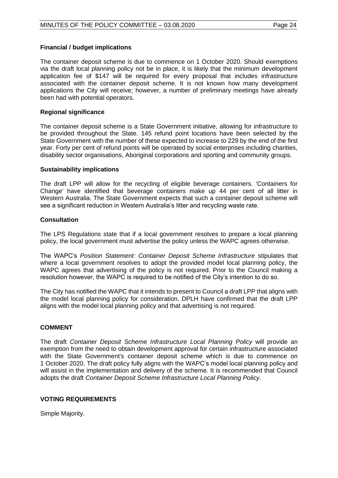## **Financial / budget implications**

The container deposit scheme is due to commence on 1 October 2020. Should exemptions via the draft local planning policy not be in place, it is likely that the minimum development application fee of \$147 will be required for every proposal that includes infrastructure associated with the container deposit scheme. It is not known how many development applications the City will receive; however, a number of preliminary meetings have already been had with potential operators.

#### **Regional significance**

The container deposit scheme is a State Government initiative, allowing for infrastructure to be provided throughout the State. 145 refund point locations have been selected by the State Government with the number of these expected to increase to 229 by the end of the first year. Forty per cent of refund points will be operated by social enterprises including charities, disability sector organisations, Aboriginal corporations and sporting and community groups.

#### **Sustainability implications**

The draft LPP will allow for the recycling of eligible beverage containers. 'Containers for Change' have identified that beverage containers make up 44 per cent of all litter in Western Australia. The State Government expects that such a container deposit scheme will see a significant reduction in Western Australia's litter and recycling waste rate.

#### **Consultation**

The LPS Regulations state that if a local government resolves to prepare a local planning policy, the local government must advertise the policy unless the WAPC agrees otherwise.

The WAPC's *Position Statement: Container Deposit Scheme Infrastructure* stipulates that where a local government resolves to adopt the provided model local planning policy, the WAPC agrees that advertising of the policy is not required. Prior to the Council making a resolution however, the WAPC is required to be notified of the City's intention to do so.

The City has notified the WAPC that it intends to present to Council a draft LPP that aligns with the model local planning policy for consideration. DPLH have confirmed that the draft LPP aligns with the model local planning policy and that advertising is not required.

## **COMMENT**

The draft *Container Deposit Scheme Infrastructure Local Planning Policy* will provide an exemption from the need to obtain development approval for certain infrastructure associated with the State Government's container deposit scheme which is due to commence on 1 October 2020. The draft policy fully aligns with the WAPC's model local planning policy and will assist in the implementation and delivery of the scheme. It is recommended that Council adopts the draft *Container Deposit Scheme Infrastructure Local Planning Policy*.

## **VOTING REQUIREMENTS**

Simple Majority.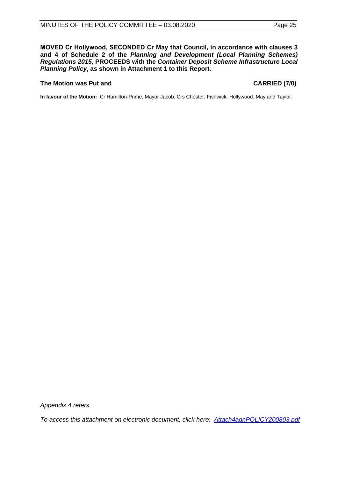**MOVED Cr Hollywood, SECONDED Cr May that Council, in accordance with clauses 3 and 4 of Schedule 2 of the** *Planning and Development (Local Planning Schemes) Regulations 2015,* **PROCEEDS with the** *Container Deposit Scheme Infrastructure Local Planning Policy***, as shown in Attachment 1 to this Report.**

#### The Motion was Put and **CARRIED** (7/0)

**In favour of the Motion:** Cr Hamilton-Prime, Mayor Jacob, Crs Chester, Fishwick, Hollywood, May and Taylor.

*Appendix 4 refers*

*To access this attachment on electronic document, click here[: Attach4agnPOLICY200803.pdf](http://www.joondalup.wa.gov.au/files/committees/POLI/2020/Attach4agnPOLICY200803.pdf)*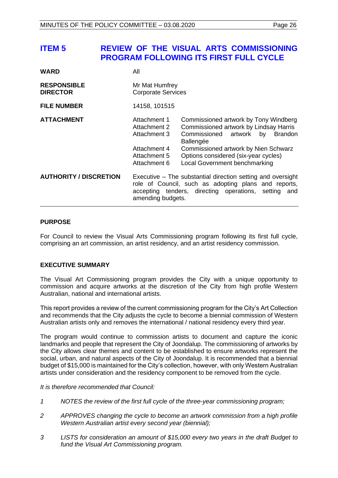# <span id="page-25-0"></span>**ITEM 5 REVIEW OF THE VISUAL ARTS COMMISSIONING PROGRAM FOLLOWING ITS FIRST FULL CYCLE**

| <b>WARD</b>                           | All                                                                                                                                                                                              |                                                                                                                                                                                                                                                                   |  |
|---------------------------------------|--------------------------------------------------------------------------------------------------------------------------------------------------------------------------------------------------|-------------------------------------------------------------------------------------------------------------------------------------------------------------------------------------------------------------------------------------------------------------------|--|
| <b>RESPONSIBLE</b><br><b>DIRECTOR</b> | Mr Mat Humfrey<br><b>Corporate Services</b>                                                                                                                                                      |                                                                                                                                                                                                                                                                   |  |
| <b>FILE NUMBER</b>                    | 14158, 101515                                                                                                                                                                                    |                                                                                                                                                                                                                                                                   |  |
| <b>ATTACHMENT</b>                     | Attachment 1<br>Attachment 2<br>Attachment 3<br>Attachment 4<br>Attachment 5<br>Attachment 6                                                                                                     | Commissioned artwork by Tony Windberg<br>Commissioned artwork by Lindsay Harris<br>Commissioned artwork by<br><b>Brandon</b><br>Ballengée<br>Commissioned artwork by Nien Schwarz<br>Options considered (six-year cycles)<br><b>Local Government benchmarking</b> |  |
| <b>AUTHORITY / DISCRETION</b>         | Executive – The substantial direction setting and oversight<br>role of Council, such as adopting plans and reports,<br>accepting tenders, directing operations, setting and<br>amending budgets. |                                                                                                                                                                                                                                                                   |  |

### **PURPOSE**

For Council to review the Visual Arts Commissioning program following its first full cycle, comprising an art commission, an artist residency, and an artist residency commission.

## **EXECUTIVE SUMMARY**

The Visual Art Commissioning program provides the City with a unique opportunity to commission and acquire artworks at the discretion of the City from high profile Western Australian, national and international artists.

This report provides a review of the current commissioning program for the City's Art Collection and recommends that the City adjusts the cycle to become a biennial commission of Western Australian artists only and removes the international / national residency every third year.

The program would continue to commission artists to document and capture the iconic landmarks and people that represent the City of Joondalup. The commissioning of artworks by the City allows clear themes and content to be established to ensure artworks represent the social, urban, and natural aspects of the City of Joondalup. It is recommended that a biennial budget of \$15,000 is maintained for the City's collection, however, with only Western Australian artists under consideration and the residency component to be removed from the cycle.

*It is therefore recommended that Council:*

- *1 NOTES the review of the first full cycle of the three-year commissioning program;*
- *2 APPROVES changing the cycle to become an artwork commission from a high profile Western Australian artist every second year (biennial);*
- *3 LISTS for consideration an amount of \$15,000 every two years in the draft Budget to fund the Visual Art Commissioning program.*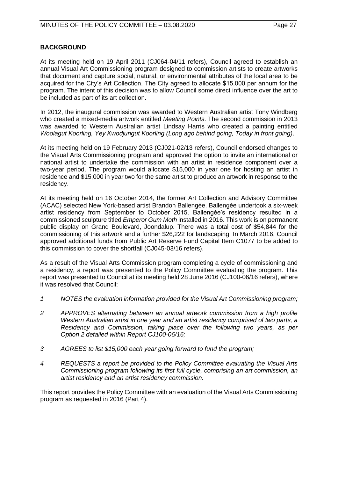## **BACKGROUND**

At its meeting held on 19 April 2011 (CJ064-04/11 refers), Council agreed to establish an annual Visual Art Commissioning program designed to commission artists to create artworks that document and capture social, natural, or environmental attributes of the local area to be acquired for the City's Art Collection. The City agreed to allocate \$15,000 per annum for the program. The intent of this decision was to allow Council some direct influence over the art to be included as part of its art collection.

In 2012, the inaugural commission was awarded to Western Australian artist Tony Windberg who created a mixed-media artwork entitled *Meeting Points*. The second commission in 2013 was awarded to Western Australian artist Lindsay Harris who created a painting entitled *Woolagut Koorling, Yey Kwodjungut Koorling (Long ago behind going, Today in front going)*.

At its meeting held on 19 February 2013 (CJ021-02/13 refers), Council endorsed changes to the Visual Arts Commissioning program and approved the option to invite an international or national artist to undertake the commission with an artist in residence component over a two-year period. The program would allocate \$15,000 in year one for hosting an artist in residence and \$15,000 in year two for the same artist to produce an artwork in response to the residency.

At its meeting held on 16 October 2014, the former Art Collection and Advisory Committee (ACAC) selected New York-based artist Brandon Ballengée. Ballengée undertook a six-week artist residency from September to October 2015. Ballengée's residency resulted in a commissioned sculpture titled *Emperor Gum Moth* installed in 2016. This work is on permanent public display on Grand Boulevard, Joondalup. There was a total cost of \$54,844 for the commissioning of this artwork and a further \$26,222 for landscaping. In March 2016, Council approved additional funds from Public Art Reserve Fund Capital Item C1077 to be added to this commission to cover the shortfall (CJ045-03/16 refers).

As a result of the Visual Arts Commission program completing a cycle of commissioning and a residency, a report was presented to the Policy Committee evaluating the program. This report was presented to Council at its meeting held 28 June 2016 (CJ100-06/16 refers), where it was resolved that Council:

- *1 NOTES the evaluation information provided for the Visual Art Commissioning program;*
- *2 APPROVES alternating between an annual artwork commission from a high profile Western Australian artist in one year and an artist residency comprised of two parts, a Residency and Commission, taking place over the following two years, as per Option 2 detailed within Report CJ100-06/16;*
- *3 AGREES to list \$15,000 each year going forward to fund the program;*
- *4 REQUESTS a report be provided to the Policy Committee evaluating the Visual Arts Commissioning program following its first full cycle, comprising an art commission, an artist residency and an artist residency commission.*

This report provides the Policy Committee with an evaluation of the Visual Arts Commissioning program as requested in 2016 (Part 4).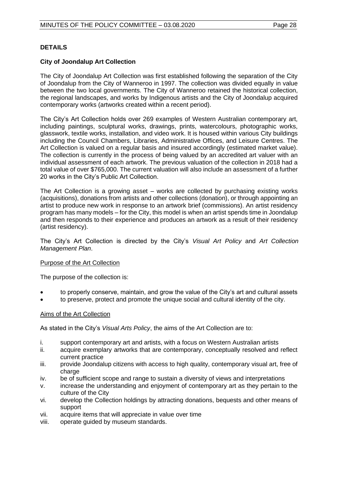## **DETAILS**

## **City of Joondalup Art Collection**

The City of Joondalup Art Collection was first established following the separation of the City of Joondalup from the City of Wanneroo in 1997. The collection was divided equally in value between the two local governments. The City of Wanneroo retained the historical collection, the regional landscapes, and works by Indigenous artists and the City of Joondalup acquired contemporary works (artworks created within a recent period).

The City's Art Collection holds over 269 examples of Western Australian contemporary art, including paintings, sculptural works, drawings, prints, watercolours, photographic works, glasswork, textile works, installation, and video work. It is housed within various City buildings including the Council Chambers, Libraries, Administrative Offices, and Leisure Centres. The Art Collection is valued on a regular basis and insured accordingly (estimated market value). The collection is currently in the process of being valued by an accredited art valuer with an individual assessment of each artwork. The previous valuation of the collection in 2018 had a total value of over \$765,000. The current valuation will also include an assessment of a further 20 works in the City's Public Art Collection.

The Art Collection is a growing asset – works are collected by purchasing existing works (acquisitions), donations from artists and other collections (donation), or through appointing an artist to produce new work in response to an artwork brief (commissions). An artist residency program has many models – for the City, this model is when an artist spends time in Joondalup and then responds to their experience and produces an artwork as a result of their residency (artist residency).

The City's Art Collection is directed by the City's *Visual Art Policy* and *Art Collection Management Plan*.

## Purpose of the Art Collection

The purpose of the collection is:

- to properly conserve, maintain, and grow the value of the City's art and cultural assets
- to preserve, protect and promote the unique social and cultural identity of the city.

#### Aims of the Art Collection

As stated in the City's *Visual Arts Policy*, the aims of the Art Collection are to:

- i. support contemporary art and artists, with a focus on Western Australian artists
- ii. acquire exemplary artworks that are contemporary, conceptually resolved and reflect current practice
- iii. provide Joondalup citizens with access to high quality, contemporary visual art, free of charge
- iv. be of sufficient scope and range to sustain a diversity of views and interpretations
- v. increase the understanding and enjoyment of contemporary art as they pertain to the culture of the City
- vi. develop the Collection holdings by attracting donations, bequests and other means of support
- vii. acquire items that will appreciate in value over time
- viii. operate guided by museum standards.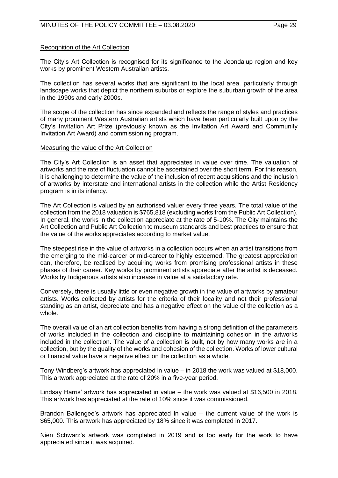#### Recognition of the Art Collection

The City's Art Collection is recognised for its significance to the Joondalup region and key works by prominent Western Australian artists.

The collection has several works that are significant to the local area, particularly through landscape works that depict the northern suburbs or explore the suburban growth of the area in the 1990s and early 2000s.

The scope of the collection has since expanded and reflects the range of styles and practices of many prominent Western Australian artists which have been particularly built upon by the City's Invitation Art Prize (previously known as the Invitation Art Award and Community Invitation Art Award) and commissioning program.

#### Measuring the value of the Art Collection

The City's Art Collection is an asset that appreciates in value over time. The valuation of artworks and the rate of fluctuation cannot be ascertained over the short term. For this reason, it is challenging to determine the value of the inclusion of recent acquisitions and the inclusion of artworks by interstate and international artists in the collection while the Artist Residency program is in its infancy.

The Art Collection is valued by an authorised valuer every three years. The total value of the collection from the 2018 valuation is \$765,818 (excluding works from the Public Art Collection). In general, the works in the collection appreciate at the rate of 5-10%. The City maintains the Art Collection and Public Art Collection to museum standards and best practices to ensure that the value of the works appreciates according to market value.

The steepest rise in the value of artworks in a collection occurs when an artist transitions from the emerging to the mid-career or mid-career to highly esteemed. The greatest appreciation can, therefore, be realised by acquiring works from promising professional artists in these phases of their career. Key works by prominent artists appreciate after the artist is deceased. Works by Indigenous artists also increase in value at a satisfactory rate.

Conversely, there is usually little or even negative growth in the value of artworks by amateur artists. Works collected by artists for the criteria of their locality and not their professional standing as an artist, depreciate and has a negative effect on the value of the collection as a whole.

The overall value of an art collection benefits from having a strong definition of the parameters of works included in the collection and discipline to maintaining cohesion in the artworks included in the collection. The value of a collection is built, not by how many works are in a collection, but by the quality of the works and cohesion of the collection. Works of lower cultural or financial value have a negative effect on the collection as a whole.

Tony Windberg's artwork has appreciated in value – in 2018 the work was valued at \$18,000. This artwork appreciated at the rate of 20% in a five-year period.

Lindsay Harris' artwork has appreciated in value – the work was valued at \$16,500 in 2018. This artwork has appreciated at the rate of 10% since it was commissioned.

Brandon Ballengee's artwork has appreciated in value – the current value of the work is \$65,000. This artwork has appreciated by 18% since it was completed in 2017.

Nien Schwarz's artwork was completed in 2019 and is too early for the work to have appreciated since it was acquired.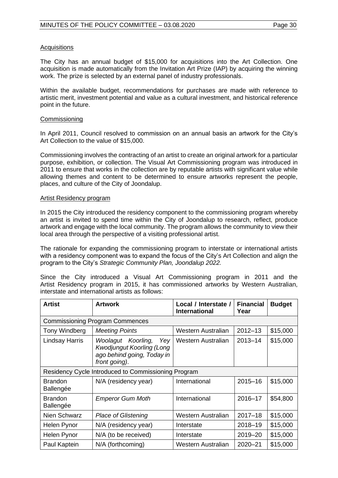## **Acquisitions**

The City has an annual budget of \$15,000 for acquisitions into the Art Collection. One acquisition is made automatically from the Invitation Art Prize (IAP) by acquiring the winning work. The prize is selected by an external panel of industry professionals.

Within the available budget, recommendations for purchases are made with reference to artistic merit, investment potential and value as a cultural investment, and historical reference point in the future.

## Commissioning

In April 2011, Council resolved to commission on an annual basis an artwork for the City's Art Collection to the value of \$15,000.

Commissioning involves the contracting of an artist to create an original artwork for a particular purpose, exhibition, or collection. The Visual Art Commissioning program was introduced in 2011 to ensure that works in the collection are by reputable artists with significant value while allowing themes and content to be determined to ensure artworks represent the people, places, and culture of the City of Joondalup.

#### Artist Residency program

In 2015 the City introduced the residency component to the commissioning program whereby an artist is invited to spend time within the City of Joondalup to research, reflect, produce artwork and engage with the local community. The program allows the community to view their local area through the perspective of a visiting professional artist.

The rationale for expanding the commissioning program to interstate or international artists with a residency component was to expand the focus of the City's Art Collection and align the program to the City's *Strategic Community Plan, Joondalup 2022.*

Since the City introduced a Visual Art Commissioning program in 2011 and the Artist Residency program in 2015, it has commissioned artworks by Western Australian, interstate and international artists as follows:

| Artist                                              | <b>Artwork</b>                                                                                               | Local / Interstate /<br><b>International</b> | <b>Financial</b><br>Year | <b>Budget</b> |
|-----------------------------------------------------|--------------------------------------------------------------------------------------------------------------|----------------------------------------------|--------------------------|---------------|
|                                                     | <b>Commissioning Program Commences</b>                                                                       |                                              |                          |               |
| Tony Windberg                                       | <b>Meeting Points</b>                                                                                        | Western Australian                           | $2012 - 13$              | \$15,000      |
| <b>Lindsay Harris</b>                               | Woolagut Koorling,<br>Yey<br><b>Kwodjungut Koorling (Long</b><br>ago behind going, Today in<br>front going). | Western Australian                           | $2013 - 14$              | \$15,000      |
| Residency Cycle Introduced to Commissioning Program |                                                                                                              |                                              |                          |               |
| <b>Brandon</b><br>Ballengée                         | N/A (residency year)                                                                                         | International                                | $2015 - 16$              | \$15,000      |
| <b>Brandon</b><br>Ballengée                         | <b>Emperor Gum Moth</b>                                                                                      | International                                | 2016-17                  | \$54,800      |
| Nien Schwarz                                        | <b>Place of Glistening</b>                                                                                   | Western Australian                           | $2017 - 18$              | \$15,000      |
| Helen Pynor                                         | N/A (residency year)                                                                                         | Interstate                                   | 2018-19                  | \$15,000      |
| Helen Pynor                                         | N/A (to be received)                                                                                         | Interstate                                   | 2019-20                  | \$15,000      |
| Paul Kaptein                                        | N/A (forthcoming)                                                                                            | Western Australian                           | $2020 - 21$              | \$15,000      |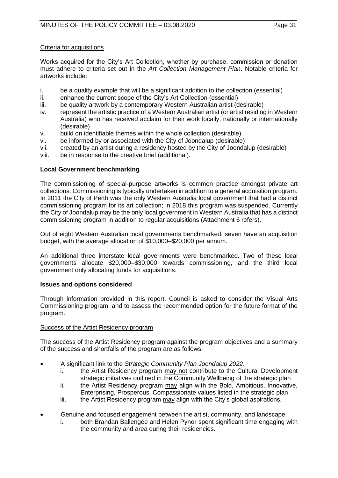Works acquired for the City's Art Collection, whether by purchase, commission or donation must adhere to criteria set out in the *Art Collection Management Plan*. Notable criteria for artworks include:

- i. be a quality example that will be a significant addition to the collection (essential)<br>ii. enhance the current scope of the City's Art Collection (essential)
- ii. enhance the current scope of the City's Art Collection (essential)<br>iii. be quality artwork by a contemporary Western Australian artist (d
- be quality artwork by a contemporary Western Australian artist (desirable)
- iv. represent the artistic practice of a Western Australian artist (or artist residing in Western Australia) who has received acclaim for their work locally, nationally or internationally (desirable)
- v. build on identifiable themes within the whole collection (desirable)
- vi. be informed by or associated with the City of Joondalup (desirable)
- vii. created by an artist during a residency hosted by the City of Joondalup (desirable)
- viii. be in response to the creative brief (additional).

## **Local Government benchmarking**

The commissioning of special-purpose artworks is common practice amongst private art collections. Commissioning is typically undertaken in addition to a general acquisition program. In 2011 the City of Perth was the only Western Australia local government that had a distinct commissioning program for its art collection; in 2018 this program was suspended. Currently the City of Joondalup may be the only local government in Western Australia that has a distinct commissioning program in addition to regular acquisitions (Attachment 6 refers).

Out of eight Western Australian local governments benchmarked, seven have an acquisition budget, with the average allocation of \$10,000–\$20,000 per annum.

An additional three interstate local governments were benchmarked. Two of these local governments allocate \$20,000–\$30,000 towards commissioning, and the third local government only allocating funds for acquisitions.

## **Issues and options considered**

Through information provided in this report, Council is asked to consider the Visual Arts Commissioning program, and to assess the recommended option for the future format of the program.

## Success of the Artist Residency program

The success of the Artist Residency program against the program objectives and a summary of the success and shortfalls of the program are as follows:

- A significant link to the *Strategic Community Plan Joondalup 2022*.
	- i. the Artist Residency program may not contribute to the Cultural Development strategic initiatives outlined in the Community Wellbeing of the strategic plan
	- ii. the Artist Residency program may align with the Bold, Ambitious, Innovative, Enterprising, Prosperous, Compassionate values listed in the strategic plan
	- iii. the Artist Residency program  $\frac{may}{day}$  align with the City's global aspirations.
- Genuine and focused engagement between the artist, community, and landscape.
	- i. both Brandan Ballengée and Helen Pynor spent significant time engaging with the community and area during their residencies.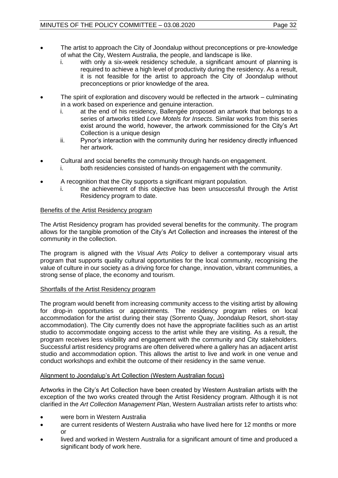- The artist to approach the City of Joondalup without preconceptions or pre-knowledge of what the City, Western Australia, the people, and landscape is like.
	- i. with only a six-week residency schedule, a significant amount of planning is required to achieve a high level of productivity during the residency. As a result, it is not feasible for the artist to approach the City of Joondalup without preconceptions or prior knowledge of the area.
- The spirit of exploration and discovery would be reflected in the artwork culminating in a work based on experience and genuine interaction.
	- i. at the end of his residency, Ballengée proposed an artwork that belongs to a series of artworks titled *Love Motels for Insects*. Similar works from this series exist around the world, however, the artwork commissioned for the City's Art Collection is a unique design
	- ii. Pynor's interaction with the community during her residency directly influenced her artwork.
- Cultural and social benefits the community through hands-on engagement.
	- i. both residencies consisted of hands-on engagement with the community.
- A recognition that the City supports a significant migrant population.
	- i. the achievement of this objective has been unsuccessful through the Artist Residency program to date.

## Benefits of the Artist Residency program

The Artist Residency program has provided several benefits for the community. The program allows for the tangible promotion of the City's Art Collection and increases the interest of the community in the collection.

The program is aligned with the *Visual Arts Policy* to deliver a contemporary visual arts program that supports quality cultural opportunities for the local community, recognising the value of culture in our society as a driving force for change, innovation, vibrant communities, a strong sense of place, the economy and tourism.

## Shortfalls of the Artist Residency program

The program would benefit from increasing community access to the visiting artist by allowing for drop-in opportunities or appointments. The residency program relies on local accommodation for the artist during their stay (Sorrento Quay, Joondalup Resort, short-stay accommodation). The City currently does not have the appropriate facilities such as an artist studio to accommodate ongoing access to the artist while they are visiting. As a result, the program receives less visibility and engagement with the community and City stakeholders. Successful artist residency programs are often delivered where a gallery has an adjacent artist studio and accommodation option. This allows the artist to live and work in one venue and conduct workshops and exhibit the outcome of their residency in the same venue.

## Alignment to Joondalup's Art Collection (Western Australian focus)

Artworks in the City's Art Collection have been created by Western Australian artists with the exception of the two works created through the Artist Residency program. Although it is not clarified in the *Art Collection Management Plan*, Western Australian artists refer to artists who:

- were born in Western Australia
- are current residents of Western Australia who have lived here for 12 months or more or
- lived and worked in Western Australia for a significant amount of time and produced a significant body of work here.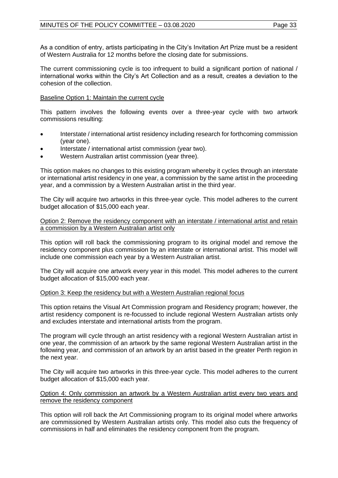As a condition of entry, artists participating in the City's Invitation Art Prize must be a resident of Western Australia for 12 months before the closing date for submissions.

The current commissioning cycle is too infrequent to build a significant portion of national / international works within the City's Art Collection and as a result, creates a deviation to the cohesion of the collection.

## Baseline Option 1: Maintain the current cycle

This pattern involves the following events over a three-year cycle with two artwork commissions resulting:

- Interstate / international artist residency including research for forthcoming commission (year one).
- Interstate / international artist commission (year two).
- Western Australian artist commission (year three).

This option makes no changes to this existing program whereby it cycles through an interstate or international artist residency in one year, a commission by the same artist in the proceeding year, and a commission by a Western Australian artist in the third year.

The City will acquire two artworks in this three-year cycle. This model adheres to the current budget allocation of \$15,000 each year.

Option 2: Remove the residency component with an interstate / international artist and retain a commission by a Western Australian artist only

This option will roll back the commissioning program to its original model and remove the residency component plus commission by an interstate or international artist. This model will include one commission each year by a Western Australian artist.

The City will acquire one artwork every year in this model. This model adheres to the current budget allocation of \$15,000 each year.

## Option 3: Keep the residency but with a Western Australian regional focus

This option retains the Visual Art Commission program and Residency program; however, the artist residency component is re-focussed to include regional Western Australian artists only and excludes interstate and international artists from the program.

The program will cycle through an artist residency with a regional Western Australian artist in one year, the commission of an artwork by the same regional Western Australian artist in the following year, and commission of an artwork by an artist based in the greater Perth region in the next year.

The City will acquire two artworks in this three-year cycle. This model adheres to the current budget allocation of \$15,000 each year.

#### Option 4: Only commission an artwork by a Western Australian artist every two years and remove the residency component

This option will roll back the Art Commissioning program to its original model where artworks are commissioned by Western Australian artists only. This model also cuts the frequency of commissions in half and eliminates the residency component from the program.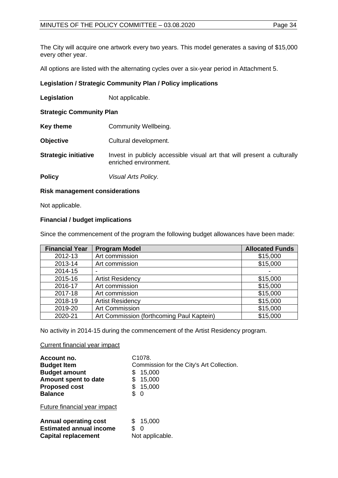The City will acquire one artwork every two years. This model generates a saving of \$15,000 every other year.

All options are listed with the alternating cycles over a six-year period in Attachment 5.

## **Legislation / Strategic Community Plan / Policy implications**

**Legislation** Not applicable.

**Strategic Community Plan**

- **Key theme Community Wellbeing.**
- **Objective** Cultural development.
- **Strategic initiative** Invest in publicly accessible visual art that will present a culturally enriched environment.
- **Policy** *Visual Arts Policy.*

## **Risk management considerations**

Not applicable.

## **Financial / budget implications**

Since the commencement of the program the following budget allowances have been made:

| <b>Financial Year</b> | <b>Program Model</b>                      | <b>Allocated Funds</b> |
|-----------------------|-------------------------------------------|------------------------|
| 2012-13               | Art commission                            | \$15,000               |
| 2013-14               | Art commission                            | \$15,000               |
| 2014-15               |                                           |                        |
| 2015-16               | <b>Artist Residency</b>                   | \$15,000               |
| 2016-17               | Art commission                            | \$15,000               |
| 2017-18               | Art commission                            | \$15,000               |
| 2018-19               | <b>Artist Residency</b>                   | \$15,000               |
| 2019-20               | Art Commission                            | \$15,000               |
| 2020-21               | Art Commission (forthcoming Paul Kaptein) | \$15,000               |

No activity in 2014-15 during the commencement of the Artist Residency program.

Current financial year impact

| Account no.<br><b>Budget Item</b><br><b>Budget amount</b><br>Amount spent to date<br><b>Proposed cost</b><br><b>Balance</b> | C <sub>1078</sub><br>Commission for the City's Art Collection.<br>15,000<br>\$<br>15,000<br>\$<br>15,000<br>\$.<br>- 0 |
|-----------------------------------------------------------------------------------------------------------------------------|------------------------------------------------------------------------------------------------------------------------|
| Future financial year impact                                                                                                |                                                                                                                        |
| <b>Annual operating cost</b><br><b>Estimated annual income</b><br><b>Capital replacement</b>                                | 15,000<br>0<br>Not applicable.                                                                                         |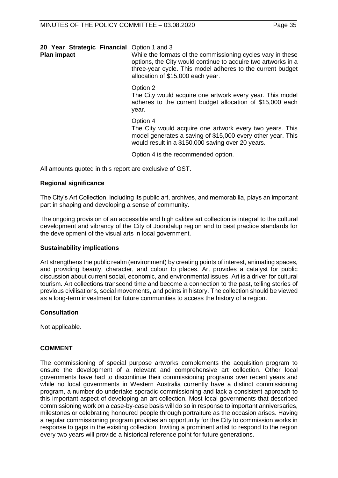|  |  |  | 20 Year Strategic Financial Option 1 and 3 |  |  |
|--|--|--|--------------------------------------------|--|--|
|--|--|--|--------------------------------------------|--|--|

While the formats of the commissioning cycles vary in these options, the City would continue to acquire two artworks in a three-year cycle. This model adheres to the current budget allocation of \$15,000 each year.

Option 2

The City would acquire one artwork every year. This model adheres to the current budget allocation of \$15,000 each year.

Option 4

The City would acquire one artwork every two years. This model generates a saving of \$15,000 every other year. This would result in a \$150,000 saving over 20 years.

Option 4 is the recommended option.

All amounts quoted in this report are exclusive of GST.

## **Regional significance**

The City's Art Collection, including its public art, archives, and memorabilia, plays an important part in shaping and developing a sense of community.

The ongoing provision of an accessible and high calibre art collection is integral to the cultural development and vibrancy of the City of Joondalup region and to best practice standards for the development of the visual arts in local government.

## **Sustainability implications**

Art strengthens the public realm (environment) by creating points of interest, animating spaces, and providing beauty, character, and colour to places. Art provides a catalyst for public discussion about current social, economic, and environmental issues. Art is a driver for cultural tourism. Art collections transcend time and become a connection to the past, telling stories of previous civilisations, social movements, and points in history. The collection should be viewed as a long-term investment for future communities to access the history of a region.

## **Consultation**

Not applicable.

## **COMMENT**

The commissioning of special purpose artworks complements the acquisition program to ensure the development of a relevant and comprehensive art collection. Other local governments have had to discontinue their commissioning programs over recent years and while no local governments in Western Australia currently have a distinct commissioning program, a number do undertake sporadic commissioning and lack a consistent approach to this important aspect of developing an art collection. Most local governments that described commissioning work on a case-by-case basis will do so in response to important anniversaries, milestones or celebrating honoured people through portraiture as the occasion arises. Having a regular commissioning program provides an opportunity for the City to commission works in response to gaps in the existing collection. Inviting a prominent artist to respond to the region every two years will provide a historical reference point for future generations.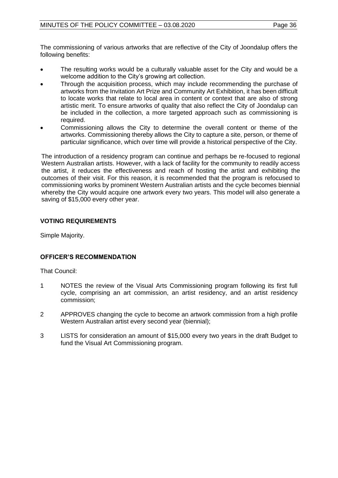The commissioning of various artworks that are reflective of the City of Joondalup offers the following benefits:

- The resulting works would be a culturally valuable asset for the City and would be a welcome addition to the City's growing art collection.
- Through the acquisition process, which may include recommending the purchase of artworks from the Invitation Art Prize and Community Art Exhibition, it has been difficult to locate works that relate to local area in content or context that are also of strong artistic merit. To ensure artworks of quality that also reflect the City of Joondalup can be included in the collection, a more targeted approach such as commissioning is required.
- Commissioning allows the City to determine the overall content or theme of the artworks. Commissioning thereby allows the City to capture a site, person, or theme of particular significance, which over time will provide a historical perspective of the City.

The introduction of a residency program can continue and perhaps be re-focused to regional Western Australian artists. However, with a lack of facility for the community to readily access the artist, it reduces the effectiveness and reach of hosting the artist and exhibiting the outcomes of their visit. For this reason, it is recommended that the program is refocused to commissioning works by prominent Western Australian artists and the cycle becomes biennial whereby the City would acquire one artwork every two years. This model will also generate a saving of \$15,000 every other year.

## **VOTING REQUIREMENTS**

Simple Majority.

## **OFFICER'S RECOMMENDATION**

That Council:

- 1 NOTES the review of the Visual Arts Commissioning program following its first full cycle, comprising an art commission, an artist residency, and an artist residency commission;
- 2 APPROVES changing the cycle to become an artwork commission from a high profile Western Australian artist every second year (biennial);
- 3 LISTS for consideration an amount of \$15,000 every two years in the draft Budget to fund the Visual Art Commissioning program.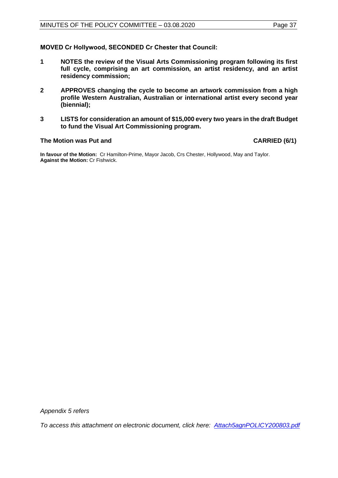**MOVED Cr Hollywood, SECONDED Cr Chester that Council:** 

- **1 NOTES the review of the Visual Arts Commissioning program following its first full cycle, comprising an art commission, an artist residency, and an artist residency commission;**
- **2 APPROVES changing the cycle to become an artwork commission from a high profile Western Australian, Australian or international artist every second year (biennial);**
- **3 LISTS for consideration an amount of \$15,000 every two years in the draft Budget to fund the Visual Art Commissioning program.**

#### The Motion was Put and **CARRIED** (6/1)

**In favour of the Motion:** Cr Hamilton-Prime, Mayor Jacob, Crs Chester, Hollywood, May and Taylor. **Against the Motion:** Cr Fishwick.

*Appendix 5 refers*

*To access this attachment on electronic document, click here[: Attach5agnPOLICY200803.pdf](http://www.joondalup.wa.gov.au/files/committees/POLI/2020/Attach5agnPOLICY200803.pdf)*